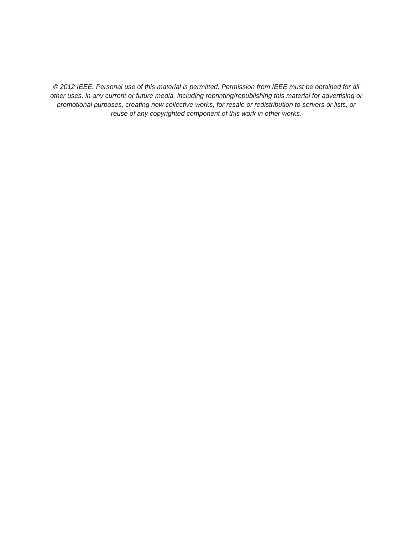*© 2012 IEEE. Personal use of this material is permitted. Permission from IEEE must be obtained for all other uses, in any current or future media, including reprinting/republishing this material for advertising or promotional purposes, creating new collective works, for resale or redistribution to servers or lists, or reuse of any copyrighted component of this work in other works.*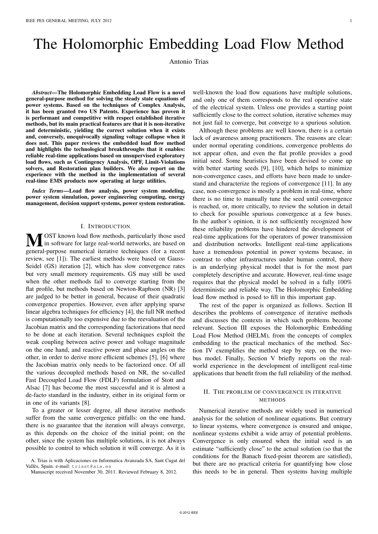# The Holomorphic Embedding Load Flow Method

Antonio Trias

*Abstract*—The Holomorphic Embedding Load Flow is a novel general-purpose method for solving the steady state equations of power systems. Based on the techniques of Complex Analysis, it has been granted two US Patents. Experience has proven it is performant and competitive with respect established iterative methods, but its main practical features are that it is non-iterative and deterministic, yielding the correct solution when it exists and, conversely, unequivocally signaling voltage collapse when it does not. This paper reviews the embedded load flow method and highlights the technological breakthroughs that it enables: reliable real-time applications based on unsupervised exploratory load flows, such as Contingency Analysis, OPF, Limit-Violations solvers, and Restoration plan builders. We also report on the experience with the method in the implementation of several real-time EMS products now operating at large utilities.

*Index Terms*—Load flow analysis, power system modeling, power system simulation, power engineering computing, energy management, decision support systems, power system restoration.

## I. INTRODUCTION

**M** OST known load flow methods, particularly those used<br>in software for large real-world networks, are based on<br>expansion intervals iterations (for a monotone general-purpose numerical iterative techniques (for a recent review, see [1]). The earliest methods were based on Gauss-Seidel (GS) iteration [2], which has slow convergence rates but very small memory requirements. GS may still be used when the other methods fail to converge starting from the flat profile, but methods based on Newton-Raphson (NR) [3] are judged to be better in general, because of their quadratic convergence properties. However, even after applying sparse linear algebra techniques for efficiency [4], the full NR method is computationally too expensive due to the reevaluation of the Jacobian matrix and the corresponding factorizations that need to be done at each iteration. Several techniques exploit the weak coupling between active power and voltage magnitude on the one hand, and reactive power and phase angles on the other, in order to derive more efficient schemes [5], [6] where the Jacobian matrix only needs to be factorized once. Of all the various decoupled methods based on NR, the so-called Fast Decoupled Load Flow (FDLF) formulation of Stott and Alsac [7] has become the most successful and it is almost a de-facto standard in the industry, either in its original form or in one of its variants [8].

To a greater or lesser degree, all these iterative methods suffer from the same convergence pitfalls: on the one hand, there is no guarantee that the iteration will always converge, as this depends on the choice of the initial point; on the other, since the system has multiple solutions, it is not always possible to control to which solution it will converge. As it is

well-known the load flow equations have multiple solutions, and only one of them corresponds to the real operative state of the electrical system. Unless one provides a starting point sufficiently close to the correct solution, iterative schemes may not just fail to converge, but converge to a spurious solution.

Although these problems are well known, there is a certain lack of awareness among practitioners. The reasons are clear: under normal operating conditions, convergence problems do not appear often, and even the flat profile provides a good initial seed. Some heuristics have been devised to come up with better starting seeds [9], [10], which helps to minimize non-convergence cases, and efforts have been made to understand and characterize the regions of convergence [11]. In any case, non-convergence is mostly a problem in real-time, where there is no time to manually tune the seed until convergence is reached, or, more critically, to review the solution in detail to check for possible spurious convergence at a few buses. In the author's opinion, it is not sufficiently recognized how these reliability problems have hindered the development of real-time applications for the operators of power transmission and distribution networks. Intelligent real-time applications have a tremendous potential in power systems because, in contrast to other infrastructures under human control, there is an underlying physical model that is for the most part completely descriptive and accurate. However, real-time usage requires that the physical model be solved in a fully 100% deterministic and reliable way. The Holomorphic Embedding load flow method is posed to fill in this important gap.

The rest of the paper is organized as follows. Section II describes the problems of convergence of iterative methods and discusses the contexts in which such problems become relevant. Section III exposes the Holomorphic Embedding Load Flow Method (HELM), from the concepts of complex embedding to the practical mechanics of the method. Section IV exemplifies the method step by step, on the twobus model. Finally, Section V briefly reports on the realworld experience in the development of intelligent real-time applications that benefit from the full reliability of the method.

## II. THE PROBLEM OF CONVERGENCE IN ITERATIVE METHODS

Numerical iterative methods are widely used in numerical analysis for the solution of nonlinear equations. But contrary to linear systems, where convergence is ensured and unique, nonlinear systems exhibit a wide array of potential problems. Convergence is only ensured when the initial seed is an estimate "sufficiently close" to the actual solution (so that the conditions for the Banach fixed-point theorem are satisfied), but there are no practical criteria for quantifying how close this needs to be in general. Then systems having multiple

A. Trias is with Aplicaciones en Informatica Avanzada SA, Sant Cugat del Vallès, Spain. e-mail: triast@aia.es

Manuscript received November 30, 2011. Reviewed February 8, 2012.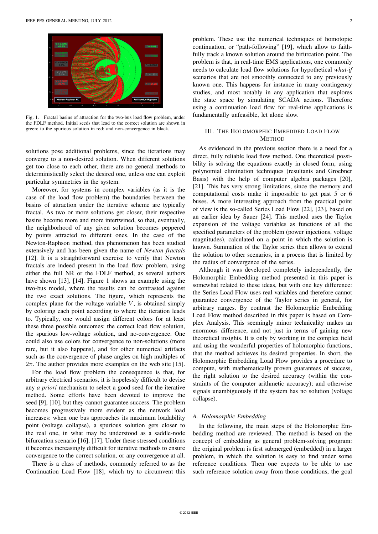

Fig. 1. Fractal basins of attraction for the two-bus load flow problem, under the FDLF method. Initial seeds that lead to the correct solution are shown in green; to the spurious solution in red; and non-convergence in black.

solutions pose additional problems, since the iterations may converge to a non-desired solution. When different solutions get too close to each other, there are no general methods to deterministically select the desired one, unless one can exploit particular symmetries in the system.

Moreover, for systems in complex variables (as it is the case of the load flow problem) the boundaries between the basins of attraction under the iterative scheme are typically fractal. As two or more solutions get closer, their respective basins become more and more intertwined, so that, eventually, the neighborhood of any given solution becomes peppered by points attracted to different ones. In the case of the Newton-Raphson method, this phenomenon has been studied extensively and has been given the name of *Newton fractals* [12]. It is a straightforward exercise to verify that Newton fractals are indeed present in the load flow problem, using either the full NR or the FDLF method, as several authors have shown [13], [14]. Figure 1 shows an example using the two-bus model, where the results can be contrasted against the two exact solutions. The figure, which represents the complex plane for the voltage variable  $V$ , is obtained simply by coloring each point according to where the iteration leads to. Typically, one would assign different colors for at least these three possible outcomes: the correct load flow solution, the spurious low-voltage solution, and no-convergence. One could also use colors for convergence to non-solutions (more rare, but it also happens), and for other numerical artifacts such as the convergence of phase angles on high multiples of  $2\pi$ . The author provides more examples on the web site [15].

For the load flow problem the consequence is that, for arbitrary electrical scenarios, it is hopelessly difficult to devise any *a priori* mechanism to select a good seed for the iterative method. Some efforts have been devoted to improve the seed [9], [10], but they cannot guarantee success. The problem becomes progressively more evident as the network load increases: when one bus approaches its maximum loadability point (voltage collapse), a spurious solution gets closer to the real one, in what may be understood as a saddle-node bifurcation scenario [16], [17]. Under these stressed conditions it becomes increasingly difficult for iterative methods to ensure convergence to the correct solution, or any convergence at all.

There is a class of methods, commonly referred to as the Continuation Load Flow [18], which try to circumvent this

problem. These use the numerical techniques of homotopic continuation, or "path-following" [19], which allow to faithfully track a known solution around the bifurcation point. The problem is that, in real-time EMS applications, one commonly needs to calculate load flow solutions for hypothetical *what-if* scenarios that are not smoothly connected to any previously known one. This happens for instance in many contingency studies, and most notably in any application that explores the state space by simulating SCADA actions. Therefore using a continuation load flow for real-time applications is fundamentally unfeasible, let alone slow.

## III. THE HOLOMORPHIC EMBEDDED LOAD FLOW **METHOD**

As evidenced in the previous section there is a need for a direct, fully reliable load flow method. One theoretical possibility is solving the equations exactly in closed form, using polynomial elimination techniques (resultants and Groebner Basis) with the help of computer algebra packages [20], [21]. This has very strong limitations, since the memory and computational costs make it impossible to get past 5 or 6 buses. A more interesting approach from the practical point of view is the so-called Series Load Flow [22], [23], based on an earlier idea by Sauer [24]. This method uses the Taylor expansion of the voltage variables as functions of all the specified parameters of the problem (power injections, voltage magnitudes), calculated on a point in which the solution is known. Summation of the Taylor series then allows to extend the solution to other scenarios, in a process that is limited by the radius of convergence of the series.

Although it was developed completely independently, the Holomorphic Embedding method presented in this paper is somewhat related to these ideas, but with one key difference: the Series Load Flow uses real variables and therefore cannot guarantee convergence of the Taylor series in general, for arbitrary ranges. By contrast the Holomorphic Embedding Load Flow method described in this paper is based on Complex Analysis. This seemingly minor technicality makes an enormous difference, and not just in terms of gaining new theoretical insights. It is only by working in the complex field and using the wonderful properties of holomorphic functions, that the method achieves its desired properties. In short, the Holomorphic Embedding Load Flow provides a procedure to compute, with mathematically proven guarantees of success, the right solution to the desired accuracy (within the constraints of the computer arithmetic accuracy); and otherwise signals unambiguously if the system has no solution (voltage collapse).

## *A. Holomorphic Embedding*

In the following, the main steps of the Holomorphic Embedding method are reviewed. The method is based on the concept of embedding as general problem-solving program: the original problem is first submerged (embedded) in a larger problem, in which the solution is easy to find under some reference conditions. Then one expects to be able to use such reference solution away from those conditions, the goal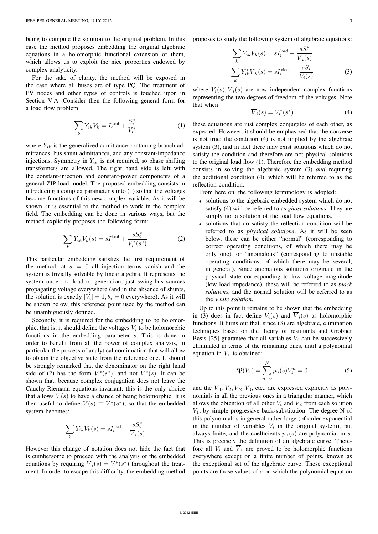being to compute the solution to the original problem. In this case the method proposes embedding the original algebraic equations in a holomorphic functional extension of them, which allows us to exploit the nice properties endowed by complex analyticity.

For the sake of clarity, the method will be exposed in the case where all buses are of type PQ. The treatment of PV nodes and other types of controls is touched upon in Section V-A. Consider then the following general form for a load flow problem:

$$
\sum_{k} Y_{ik} V_{k} = I_{i}^{\text{load}} + \frac{S_{i}^{*}}{V_{i}^{*}}
$$
 (1)

where  $Y_{ik}$  is the generalized admittance containing branch admittances, bus shunt admittances, and any constant-impedance injections. Symmetry in  $Y_{ik}$  is not required, so phase shifting transformers are allowed. The right hand side is left with the constant-injection and constant-power components of a general ZIP load model. The proposed embedding consists in introducing a complex parameter  $s$  into (1) so that the voltages become functions of this new complex variable. As it will be shown, it is essential to the method to work in the complex field. The embedding can be done in various ways, but the method explicitly proposes the following form:

$$
\sum_{k} Y_{ik} V_{k}(s) = sI_{i}^{\text{load}} + \frac{sS_{i}^{*}}{V_{i}^{*}(s^{*})}
$$
(2)

This particular embedding satisfies the first requirement of the method: at  $s = 0$  all injection terms vanish and the system is trivially solvable by linear algebra. It represents the system under no load or generation, just swing-bus sources propagating voltage everywhere (and in the absence of shunts, the solution is exactly  $|V_i| = 1, \theta_i = 0$  everywhere). As it will be shown below, this reference point used by the method can be unambiguously defined.

Secondly, it is required for the embedding to be holomorphic, that is, it should define the voltages  $V_i$  to be holomorphic functions in the embedding parameter s. This is done in order to benefit from all the power of complex analysis, in particular the process of analytical continuation that will allow to obtain the objective state from the reference one. It should be strongly remarked that the denominator on the right hand side of (2) has the form  $V^*(s^*)$ , and not  $V^*(s)$ . It can be shown that, because complex conjugation does not leave the Cauchy-Riemann equations invariant, this is the only choice that allows  $V(s)$  to have a chance of being holomorphic. It is then useful to define  $\overline{V}(s) \equiv V^*(s^*)$ , so that the embedded system becomes:

$$
\sum_k Y_{ik} V_k(s) = sI^{\text{load}}_i + \frac{sS^*_i}{\overline{V}_i(s)}
$$

However this change of notation does not hide the fact that is cumbersome to proceed with the analysis of the embedded equations by requiring  $\overline{V}_i(s) = V_i^*(s^*)$  throughout the treatment. In order to escape this difficulty, the embedding method proposes to study the following system of algebraic equations:

$$
\sum_{k} Y_{ik} V_{k}(s) = sI_{i}^{\text{load}} + \frac{sS_{i}^{*}}{\overline{V}_{i}(s)}
$$

$$
\sum_{k} Y_{ik}^{*} \overline{V}_{k}(s) = sI_{i}^{* \text{load}} + \frac{sS_{i}}{V_{i}(s)}
$$
(3)

where  $V_i(s)$ ,  $\overline{V}_i(s)$  are now independent complex functions representing the two degrees of freedom of the voltages. Note that when

$$
\overline{V}_i(s) = V_i^*(s^*)
$$
\n(4)

these equations are just complex conjugates of each other, as expected. However, it should be emphasized that the converse is not true: the condition (4) is not implied by the algebraic system (3), and in fact there may exist solutions which do not satisfy the condition and therefore are not physical solutions to the original load flow (1). Therefore the embedding method consists in solving the algebraic system (3) *and* requiring the additional condition (4), which will be referred to as the reflection condition.

From here on, the following terminology is adopted:

- solutions to the algebraic embedded system which do not satisfy (4) will be referred to as *ghost solutions*. They are simply not a solution of the load flow equations.
- solutions that do satisfy the reflection condition will be referred to as *physical solutions*. As it will be seen below, these can be either "normal" (corresponding to correct operating conditions, of which there may be only one), or "anomalous" (corresponding to unstable operating conditions, of which there may be several, in general). Since anomalous solutions originate in the physical state corresponding to low voltage magnitude (low load impedance), these will be referred to as *black solutions*, and the normal solution will be referred to as the *white solution*.

Up to this point it remains to be shown that the embedding in (3) does in fact define  $V_i(s)$  and  $\overline{V}_i(s)$  as holomorphic functions. It turns out that, since (3) are algebraic, elimination techniques based on the theory of resultants and Gröbner Basis [25] guarantee that all variables  $V_i$  can be successively eliminated in terms of the remaining ones, until a polynomial equation in  $V_1$  is obtained:

$$
\mathfrak{P}(V_1) = \sum_{n=0}^{N} p_n(s) V_1^n = 0 \tag{5}
$$

and the  $\overline{V}_1, V_2, \overline{V}_2, V_3$ , etc., are expressed explicitly as polynomials in all the previous ones in a triangular manner, which allows the obtention of all other  $V_i$  and  $\overline{V}_i$  from each solution  $V_1$ , by simple progressive back-substitution. The degree N of this polynomial is in general rather large (of order exponential in the number of variables  $V_i$  in the original system), but always finite, and the coefficients  $p_n(s)$  are polynomial in s. This is precisely the definition of an algebraic curve. Therefore all  $V_i$  and  $\overline{V}_i$  are proved to be holomorphic functions everywhere except on a finite number of points, known as the exceptional set of the algebraic curve. These exceptional points are those values of s on which the polynomial equation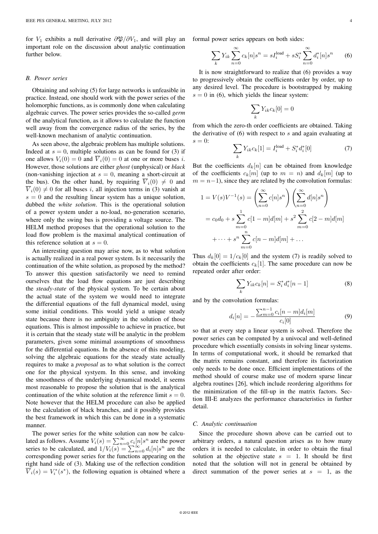for  $V_1$  exhibits a null derivative  $\frac{\partial \mathfrak{P}}{\partial V_1}$ , and will play an important role on the discussion about analytic continuation further below.

#### *B. Power series*

Obtaining and solving (5) for large networks is unfeasible in practice. Instead, one should work with the power series of the holomorphic functions, as is commonly done when calculating algebraic curves. The power series provides the so-called *germ* of the analytical function, as it allows to calculate the function well away from the convergence radius of the series, by the well-known mechanism of analytic continuation.

As seen above, the algebraic problem has multiple solutions. Indeed at  $s = 0$ , multiple solutions as can be found for (3) if one allows  $V_i(0) = 0$  and  $\overline{V}_i(0) = 0$  at one or more buses i. However, those solutions are either *ghost* (unphysical) or *black* (non-vanishing injection at  $s = 0$ , meaning a short-circuit at the bus). On the other hand, by requiring  $\overline{V}_i(0) \neq 0$  and  $\overline{V}_i(0) \neq 0$  for all buses i, all injection terms in (3) vanish at  $s = 0$  and the resulting linear system has a unique solution, dubbed the *white solution*. This is the operational solution of a power system under a no-load, no-generation scenario, where only the swing bus is providing a voltage source. The HELM method proposes that the operational solution to the load flow problem is the maximal analytical continuation of this reference solution at  $s = 0$ .

An interesting question may arise now, as to what solution is actually realized in a real power system. Is it necessarily the continuation of the white solution, as proposed by the method? To answer this question satisfactorily we need to remind ourselves that the load flow equations are just describing the *steady-state* of the physical system. To be certain about the actual state of the system we would need to integrate the differential equations of the full dynamical model, using some initial conditions. This would yield a unique steady state because there is no ambiguity in the solution of those equations. This is almost impossible to achieve in practice, but it is certain that the steady state will be analytic in the problem parameters, given some minimal assumptions of smoothness for the differential equations. In the absence of this modeling, solving the algebraic equations for the steady state actually requires to make a *proposal* as to what solution is the correct one for the physical systyem. In this sense, and invoking the smoothness of the underlying dynamical model, it seems most reasonable to propose the solution that is the analytical continuation of the white solution at the reference limit  $s = 0$ . Note however that the HELM procedure can also be applied to the calculation of black branches, and it possibly provides the best framework in which this can be done in a systematic manner.

The power series for the white solution can now be calculated as follows. Assume  $V_i(s) = \sum_{n=0}^{\infty} c_i[n] s^n$  are the power series to be calculated, and  $1/V_i(s) = \sum_{n=0}^{\infty} d_i[n]s^n$  are the corresponding power series for the functions appearing on the right hand side of (3). Making use of the reflection condition  $\overline{V}_i(s) = V_i^*(s^*)$ , the following equation is obtained where a formal power series appears on both sides:

$$
\sum_{k} Y_{ik} \sum_{n=0}^{\infty} c_k [n] s^n = s I_i^{\text{load}} + s S_i^* \sum_{n=0}^{\infty} d_i^* [n] s^n \tag{6}
$$

It is now straightforward to realize that (6) provides a way to progressively obtain the coefficients order by order, up to any desired level. The procedure is bootstrapped by making  $s = 0$  in (6), which yields the linear system:

$$
\sum_{k} Y_{ik} c_{k}[0] = 0
$$

from which the zero-th order coefficients are obtained. Taking the derivative of  $(6)$  with respect to s and again evaluating at  $s = 0$ :

$$
\sum_{k} Y_{ik} c_{k}[1] = I_{i}^{\text{load}} + S_{i}^{*} d_{i}^{*}[0] \tag{7}
$$

But the coefficients  $d_k[n]$  can be obtained from knowledge of the coefficients  $c_k[m]$  (up to  $m = n$ ) and  $d_k[m]$  (up to  $m = n-1$ ), since they are related by the convolution formulas:

$$
1 = V(s)V^{-1}(s) = \left(\sum_{n=0}^{\infty} c[n]s^n\right)\left(\sum_{n=0}^{\infty} d[n]s^n\right)
$$
  
=  $c_0d_0 + s\sum_{m=0}^{1} c[1-m]d[m] + s^2\sum_{m=0}^{2} c[2-m]d[m]$   
+  $\cdots + s^n\sum_{m=0}^{n} c[n-m]d[m] + \cdots$ 

Thus  $d_k[0] = 1/c_k[0]$  and the system (7) is readily solved to obtain the coefficients  $c_k[1]$ . The same procedure can now be repeated order after order:

$$
\sum_{k} Y_{ik} c_{k}[n] = S_{i}^{*} d_{i}^{*}[n-1]
$$
\n(8)

and by the convolution formulas:

$$
d_i[n] = -\frac{\sum_{m=0}^{n-1} c_i[n-m]d_i[m]}{c_i[0]}
$$
(9)

so that at every step a linear system is solved. Therefore the power series can be computed by a univocal and well-defined procedure which essentially consists in solving linear systems. In terms of computational work, it should be remarked that the matrix remains constant, and therefore its factorization only needs to be done once. Efficient implementations of the method should of course make use of modern sparse linear algebra routines [26], which include reordering algorithms for the minimization of the fill-up in the matrix factors. Section III-E analyzes the performance characteristics in further detail.

## *C. Analytic continuation*

Since the procedure shown above can be carried out to arbitrary orders, a natural question arises as to how many orders it is needed to calculate, in order to obtain the final solution at the objective state  $s = 1$ . It should be first noted that the solution will not in general be obtained by direct summation of the power series at  $s = 1$ , as the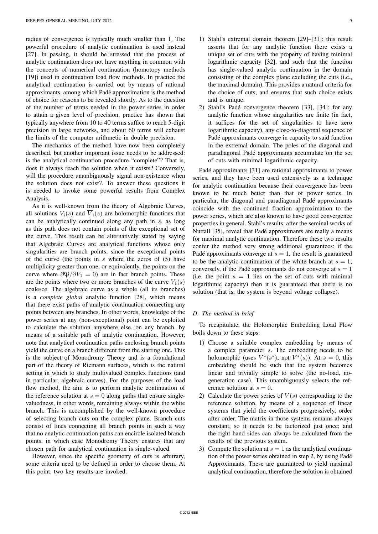radius of convergence is typically much smaller than 1. The powerful procedure of analytic continuation is used instead [27]. In passing, it should be stressed that the process of analytic continuation does not have anything in common with the concepts of numerical continuation (homotopy methods [19]) used in continuation load flow methods. In practice the analytical continuation is carried out by means of rational approximants, among which Pade approximation is the method ´ of choice for reasons to be revealed shortly. As to the question of the number of terms needed in the power series in order to attain a given level of precision, practice has shown that typically anywhere from 10 to 40 terms suffice to reach 5-digit precision in large networks, and about 60 terms will exhaust the limits of the computer arithmetic in double precision.

The mechanics of the method have now been completely described, but another important issue needs to be addressed: is the analytical continuation procedure "complete"? That is, does it always reach the solution when it exists? Conversely, will the procedure unambiguously signal non-existence when the solution does not exist?. To answer these questions it is needed to invoke some powerful results from Complex Analysis.

As it is well-known from the theory of Algebraic Curves, all solutions  $V_i(s)$  and  $\overline{V}_i(s)$  are holomorphic functions that can be analytically continued along any path in s, as long as this path does not contain points of the exceptional set of the curve. This result can be alternatively stated by saying that Algebraic Curves are analytical functions whose only singularities are branch points, since the exceptional points of the curve (the points in  $s$  where the zeros of  $(5)$  have multiplicity greater than one, or equivalently, the points on the curve where  $\frac{\partial \mathfrak{P}}{\partial V_1} = 0$  are in fact branch points. These are the points where two or more branches of the curve  $V_1(s)$ coalesce. The algebraic curve as a whole (all its branches) is a *complete global* analytic function [28], which means that there exist paths of analytic continuation connecting any points between any branches. In other words, knowledge of the power series at any (non-exceptional) point can be exploited to calculate the solution anywhere else, on any branch, by means of a suitable path of analytic continuation. However, note that analytical continuation paths enclosing branch points yield the curve on a branch different from the starting one. This is the subject of Monodromy Theory and is a foundational part of the theory of Riemann surfaces, which is the natural setting in which to study multivalued complex functions (and in particular, algebraic curves). For the purposes of the load flow method, the aim is to perform analytic continuation of the reference solution at  $s = 0$  along paths that ensure singlevaluedness, in other words, remaining always within the white branch. This is accomplished by the well-known procedure of selecting branch cuts on the complex plane. Branch cuts consist of lines connecting all branch points in such a way that no analytic continuation paths can encircle isolated branch points, in which case Monodromy Theory ensures that any chosen path for analytical continuation is single-valued.

However, since the specific geometry of cuts is arbitrary, some criteria need to be defined in order to choose them. At this point, two key results are invoked:

- 1) Stahl's extremal domain theorem [29]–[31]: this result asserts that for any analytic function there exists a unique set of cuts with the property of having minimal logarithmic capacity [32], and such that the function has single-valued analytic continuation in the domain consisting of the complex plane excluding the cuts (i.e., the maximal domain). This provides a natural criteria for the choice of cuts, and ensures that such choice exists and is unique.
- 2) Stahl's Pade convergence theorem [33], [34]: for any ´ analytic function whose singularities are finite (in fact, it suffices for the set of singularities to have zero logarithmic capacity), any close-to-diagonal sequence of Padé approximants converge in capacity to said function in the extremal domain. The poles of the diagonal and paradiagonal Pade approximants accumulate on the set ´ of cuts with minimal logarithmic capacity.

Padé approximants [31] are rational approximants to power series, and they have been used extensively as a technique for analytic continuation because their convergence has been known to be much better than that of power series. In particular, the diagonal and paradiagonal Pade approximants ´ coincide with the continued fraction approximation to the power series, which are also known to have good convergence properties in general. Stahl's results, after the seminal works of Nuttall [35], reveal that Pade approximants are really a means ´ for maximal analytic continuation. Therefore these two results confer the method very strong additional guarantees: if the Padé approximants converge at  $s = 1$ , the result is guaranteed to be the analytic continuation of the white branch at  $s = 1$ ; conversely, if the Padé approximants do not converge at  $s = 1$ (i.e. the point  $s = 1$  lies on the set of cuts with minimal logarithmic capacity) then it is guaranteed that there is no solution (that is, the system is beyond voltage collapse).

#### *D. The method in brief*

To recapitulate, the Holomorphic Embedding Load Flow boils down to these steps:

- 1) Choose a suitable complex embedding by means of a complex parameter s. The embedding needs to be holomorphic (uses  $V^*(s^*)$ , not  $V^*(s)$ ). At  $s = 0$ , this embedding should be such that the system becomes linear and trivially simple to solve (the no-load, nogeneration case). This unambiguously selects the reference solution at  $s = 0$ .
- 2) Calculate the power series of  $V(s)$  corresponding to the reference solution, by means of a sequence of linear systems that yield the coefficients progressively, order after order. The matrix in those systems remains always constant, so it needs to be factorized just once; and the right hand sides can always be calculated from the results of the previous system.
- 3) Compute the solution at  $s = 1$  as the analytical continuation of the power series obtained in step 2, by using Pade´ Approximants. These are guaranteed to yield maximal analytical continuation, therefore the solution is obtained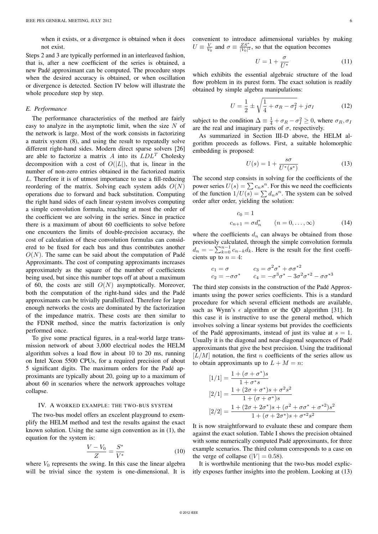when it exists, or a divergence is obtained when it does not exist.

Steps 2 and 3 are typically performed in an interleaved fashion, that is, after a new coefficient of the series is obtained, a new Pade approximant can be computed. The procedure stops ´ when the desired accuracy is obtained, or when oscillation or divergence is detected. Section IV below will illustrate the whole procedure step by step.

## *E. Performance*

The performance characteristics of the method are fairly easy to analyze in the asymptotic limit, when the size  $N$  of the network is large. Most of the work consists in factorizing a matrix system (8), and using the result to repeatedly solve different right-hand sides. Modern direct sparse solvers [26] are able to factorize a matrix  $A$  into its  $LDL<sup>T</sup>$  Cholesky decomposition with a cost of  $O(|L|)$ , that is, linear in the number of non-zero entries obtained in the factorized matrix L. Therefore it is of utmost importance to use a fill-reducing reordering of the matrix. Solving each system adds  $O(N)$ operations due to forward and back substitution. Computing the right hand sides of each linear system involves computing a simple convolution formula, reaching at most the order of the coefficient we are solving in the series. Since in practice there is a maximum of about 60 coefficients to solve before one encounters the limits of double-precision accuracy, the cost of calculation of these convolution formulas can considered to be fixed for each bus and thus contributes another  $O(N)$ . The same can be said about the computation of Padé Approximants. The cost of computing approximants increases approximately as the square of the number of coefficients being used, but since this number tops off at about a maximum of 60, the costs are still  $O(N)$  asymptotically. Moreover, both the computation of the right-hand sides and the Padé approximants can be trivially parallellized. Therefore for large enough networks the costs are dominated by the factorization of the impedance matrix. These costs are then similar to the FDNR method, since the matrix factorization is only performed once.

To give some practical figures, in a real-world large transmission network of about 3,000 electrical nodes the HELM algorithm solves a load flow in about 10 to 20 ms, running on Intel Xeon 5500 CPUs, for a required precision of about 5 significant digits. The maximum orders for the Pade ap- ´ proximants are typically about 20, going up to a maximum of about 60 in scenarios where the network approaches voltage collapse.

### IV. A WORKED EXAMPLE: THE TWO-BUS SYSTEM

The two-bus model offers an excelent playground to exemplify the HELM method and test the results against the exact known solution. Using the same sign convention as in (1), the equation for the system is:

$$
\frac{V - V_0}{Z} = \frac{S^*}{V^*}
$$
\n<sup>(10)</sup>

where  $V_0$  represents the swing. In this case the linear algebra will be trivial since the system is one-dimensional. It is convenient to introduce adimensional variables by making  $U \equiv \frac{V}{V_0}$  and  $\sigma \equiv \frac{Z S^*}{|V_0|^2}$ , so that the equation becomes

$$
U = 1 + \frac{\sigma}{U^*} \tag{11}
$$

which exhibits the essential algebraic structure of the load flow problem in its purest form. The exact solution is readily obtained by simple algebra manipulations:

$$
U = \frac{1}{2} \pm \sqrt{\frac{1}{4} + \sigma_R - \sigma_I^2} + j\sigma_I
$$
 (12)

subject to the condition  $\Delta \equiv \frac{1}{4} + \sigma_R - \sigma_I^2 \ge 0$ , where  $\sigma_R$ ,  $\sigma_I$ are the real and imaginary parts of  $\sigma$ , respectively.

As summarized in Section III-D above, the HELM algorithm proceeds as follows. First, a suitable holomorphic embedding is proposed:

$$
U(s) = 1 + \frac{s\sigma}{U^*(s^*)}
$$
 (13)

The second step consists in solving for the coefficients of the power series  $U(s) = \sum c_n s^n$ . For this we need the coefficients of the function  $1/U(s) = \sum d_n s^n$ . The system can be solved order after order, yielding the solution:

$$
c_0 = 1
$$
  

$$
c_{n+1} = \sigma d_n^* \qquad (n = 0, \dots, \infty)
$$
 (14)

where the coefficients  $d_n$  can always be obtained from those previously calculated, through the simple convolution formula  $d_n = -\sum_{k=0}^{n-1} c_{n-k} d_k$ . Here is the result for the first coefficients up to  $n = 4$ :

$$
c_1 = \sigma \t c_3 = \sigma^2 \sigma^* + \sigma \sigma^{*2}
$$
  
\n
$$
c_2 = -\sigma \sigma^* \t c_4 = -\sigma^3 \sigma^* - 3\sigma^2 \sigma^{*2} - \sigma \sigma^{*3}
$$

The third step consists in the construction of the Padé Approximants using the power series coefficients. This is a standard procedure for which several efficient methods are available, such as Wynn's  $\epsilon$  algorithm or the QD algorithm [31]. In this case it is instructive to use the general method, which involves solving a linear systems but provides the coefficients of the Padé approximants, instead of just its value at  $s = 1$ . Usually it is the diagonal and near-diagonal sequences of Pade´ approximants that give the best precision. Using the traditional  $[L/M]$  notation, the first n coefficients of the series allow us to obtain approximants up to  $L + M = n$ :

$$
[1/1] = \frac{1 + (\sigma + \sigma^*)s}{1 + \sigma^*s}
$$
  
\n
$$
[2/1] = \frac{1 + (2\sigma + \sigma^*)s + \sigma^2 s^2}{1 + (\sigma + \sigma^*)s}
$$
  
\n
$$
[2/2] = \frac{1 + (2\sigma + 2\sigma^*)s + (\sigma^2 + \sigma\sigma^* + \sigma^{*2})s^2}{1 + (\sigma + 2\sigma^*)s + \sigma^{*2}s^2}
$$

It is now straightforward to evaluate these and compare them against the exact solution. Table I shows the precision obtained with some numerically computed Padé approximants, for three example scenarios. The third column corresponds to a case on the verge of collapse ( $|V| = 0.58$ ).

It is worthwhile mentioning that the two-bus model explicitly exposes further insights into the problem. Looking at (13)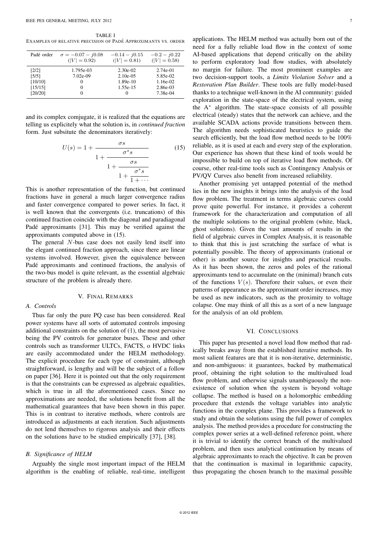TABLE I EXAMPLES OF RELATIVE PRECISION OF PADE´ APPROXIMANTS VS. ORDER

| Padé order | $\sigma = -0.07 - j0.08$<br>$( V  = 0.92)$ | $-0.14 - i0.15$<br>$( V  = 0.81)$ | $-0.2 - i0.22$<br>$( V  = 0.58)$ |
|------------|--------------------------------------------|-----------------------------------|----------------------------------|
| [2/2]      | 1.795e-03                                  | $2.30e-02$                        | 2.74e-01                         |
| [5/5]      | $7.02e-09$                                 | $2.10e-0.5$                       | 5.85e-02                         |
| [10/10]    | 0                                          | 1.89e-10                          | 1.16e-02                         |
| [15/15]    | $\theta$                                   | 1.55e-15                          | 2.86e-03                         |
| [20/20]    | $\theta$                                   | 0                                 | 7.38e-04                         |
|            |                                            |                                   |                                  |

and its complex comjugate, it is realized that the equations are telling us explicitely what the solution is, in *continued fraction* form. Just subsitute the denominators iteratively:

$$
U(s) = 1 + \frac{\sigma s}{1 + \frac{\sigma^* s}{1 + \frac{\sigma s}{1 + \frac{\sigma^* s}{1 + \dots}}}}
$$
(15)

This is another representation of the function, but continued fractions have in general a much larger convergence radius and faster convergence compared to power series. In fact, it is well known that the convergents (i.e. truncations) of this continued fraction coincide with the diagonal and paradiagonal Padé approximants [31]. This may be verified against the approximants computed above in (15).

The general N-bus case does not easily lend itself into the elegant continued fraction approach, since there are linear systems involved. However, given the equivalence between Padé approximants and continued fractions, the analysis of the two-bus model is quite relevant, as the essential algebraic structure of the problem is already there.

#### V. FINAL REMARKS

### *A. Controls*

Thus far only the pure PQ case has been considered. Real power systems have all sorts of automated controls imposing additional constraints on the solution of (1), the most pervasive being the PV controls for generator buses. These and other controls such as transformer ULTCs, FACTS, o HVDC links are easily accommodated under the HELM methodology. The explicit procedure for each type of constraint, although straightforward, is lengthy and will be the subject of a follow on paper [36]. Here it is pointed out that the only requirement is that the constraints can be expressed as algebraic equalities, which is true in all the aforementioned cases. Since no approximations are needed, the solutions benefit from all the mathematical guarantees that have been shown in this paper. This is in contrast to iterative methods, where controls are introduced as adjustments at each iteration. Such adjustments do not lend themselves to rigorous analysis and their effects on the solutions have to be studied empirically [37], [38].

## *B. Significance of HELM*

Arguably the single most important impact of the HELM algorithm is the enabling of reliable, real-time, intelligent applications. The HELM method was actually born out of the need for a fully reliable load flow in the context of some AI-based applications that depend critically on the ability to perform exploratory load flow studies, with absolutely no margin for failure. The most prominent examples are two decision-support tools, a *Limits Violation Solver* and a *Restoration Plan Builder*. These tools are fully model-based thanks to a technique well-known in the AI community: guided exploration in the state-space of the electrical system, using the A<sup>∗</sup> algorithm. The state-space consists of all possible electrical (steady) states that the network can achieve, and the available SCADA actions provide transitions between them. The algorithm needs sophisticated heuristics to guide the search efficiently, but the load flow method needs to be 100% reliable, as it is used at each and every step of the exploration. Our experience has shown that these kind of tools would be impossible to build on top of iterative load flow methods. Of course, other real-time tools such as Contingency Analysis or PV/QV Curves also benefit from increased reliability.

Another promising yet untapped potential of the method lies in the new insights it brings into the analysis of the load flow problem. The treatment in terms algebraic curves could prove quite powerful. For instance, it provides a coherent framework for the characterization and computation of all the multiple solutions to the original problem (white, black, ghost solutions). Given the vast amounts of results in the field of algebraic curves in Complex Analysis, it is reasonable to think that this is just scratching the surface of what is potentially possible. The theory of approximants (rational or other) is another source for insights and practical results. As it has been shown, the zeros and poles of the rational approximants tend to accumulate on the (minimal) branch cuts of the functions  $V(s)$ . Therefore their values, or even their patterns of appearance as the approximant order increases, may be used as new indicators, such as the proximity to voltage colapse. One may think of all this as a sort of a new language for the analysis of an old problem.

#### VI. CONCLUSIONS

This paper has presented a novel load flow method that radically breaks away from the established iterative methods. Its most salient features are that it is non-iterative, deterministic, and non-ambiguous: it guarantees, backed by mathematical proof, obtaining the right solution to the multivalued load flow problem, and otherwise signals unambiguously the nonexistence of solution when the system is beyond voltage collapse. The method is based on a holomorphic embedding procedure that extends the voltage variables into analytic functions in the complex plane. This provides a framework to study and obtain the solutions using the full power of complex analysis. The method provides a procedure for constructing the complex power series at a well-defined reference point, where it is trivial to identify the correct branch of the multivalued problem, and then uses analytical continuation by means of algebraic approximants to reach the objective. It can be proven that the continuation is maximal in logarithmic capacity, thus propagating the chosen branch to the maximal possible